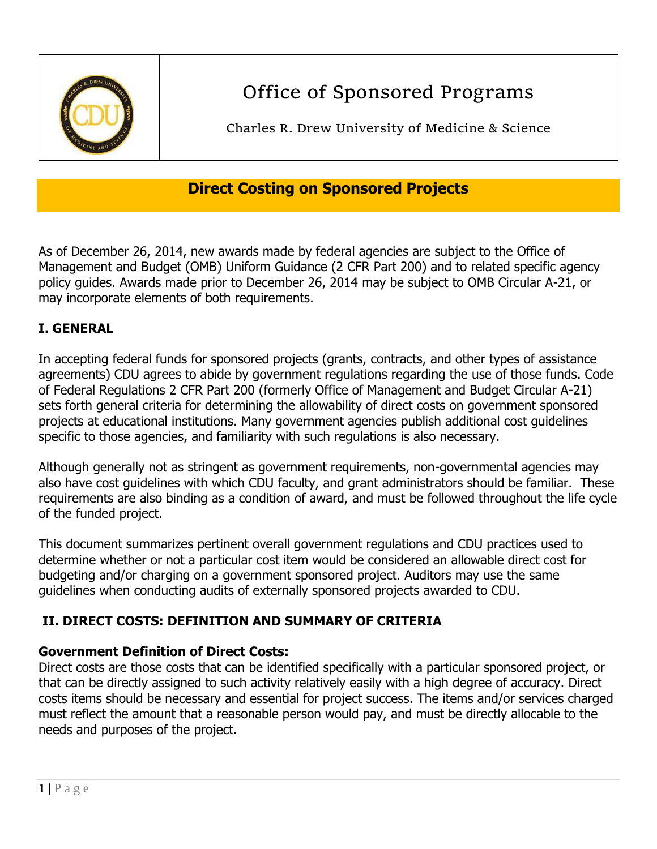

# Office of Sponsored Programs

Charles R. Drew University of Medicine & Science

# **Direct Costing on Sponsored Projects**

As of December 26, 2014, new awards made by federal agencies are subject to the Office of Management and Budget (OMB) Uniform Guidance (2 CFR Part 200) and to related specific agency policy guides. Awards made prior to December 26, 2014 may be subject to OMB Circular A-21, or may incorporate elements of both requirements.

# **I. GENERAL**

In accepting federal funds for sponsored projects (grants, contracts, and other types of assistance agreements) CDU agrees to abide by government regulations regarding the use of those funds. Code of Federal Regulations 2 CFR Part 200 (formerly Office of Management and Budget Circular A-21) sets forth general criteria for determining the allowability of direct costs on government sponsored projects at educational institutions. Many government agencies publish additional cost guidelines specific to those agencies, and familiarity with such regulations is also necessary.

Although generally not as stringent as government requirements, non-governmental agencies may also have cost guidelines with which CDU faculty, and grant administrators should be familiar. These requirements are also binding as a condition of award, and must be followed throughout the life cycle of the funded project.

This document summarizes pertinent overall government regulations and CDU practices used to determine whether or not a particular cost item would be considered an allowable direct cost for budgeting and/or charging on a government sponsored project. Auditors may use the same guidelines when conducting audits of externally sponsored projects awarded to CDU.

# **II. DIRECT COSTS: DEFINITION AND SUMMARY OF CRITERIA**

#### **Government Definition of Direct Costs:**

Direct costs are those costs that can be identified specifically with a particular sponsored project, or that can be directly assigned to such activity relatively easily with a high degree of accuracy. Direct costs items should be necessary and essential for project success. The items and/or services charged must reflect the amount that a reasonable person would pay, and must be directly allocable to the needs and purposes of the project.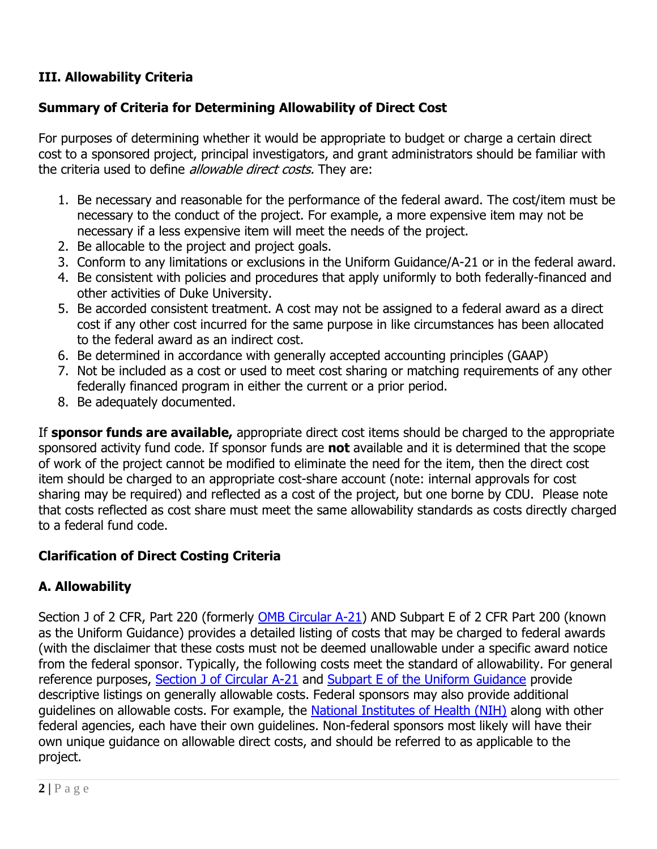# **III. Allowability Criteria**

#### **Summary of Criteria for Determining Allowability of Direct Cost**

For purposes of determining whether it would be appropriate to budget or charge a certain direct cost to a sponsored project, principal investigators, and grant administrators should be familiar with the criteria used to define *allowable direct costs*. They are:

- 1. Be necessary and reasonable for the performance of the federal award. The cost/item must be necessary to the conduct of the project. For example, a more expensive item may not be necessary if a less expensive item will meet the needs of the project.
- 2. Be allocable to the project and project goals.
- 3. Conform to any limitations or exclusions in the Uniform Guidance/A-21 or in the federal award.
- 4. Be consistent with policies and procedures that apply uniformly to both federally-financed and other activities of Duke University.
- 5. Be accorded consistent treatment. A cost may not be assigned to a federal award as a direct cost if any other cost incurred for the same purpose in like circumstances has been allocated to the federal award as an indirect cost.
- 6. Be determined in accordance with generally accepted accounting principles (GAAP)
- 7. Not be included as a cost or used to meet cost sharing or matching requirements of any other federally financed program in either the current or a prior period.
- 8. Be adequately documented.

If **sponsor funds are available,** appropriate direct cost items should be charged to the appropriate sponsored activity fund code. If sponsor funds are **not** available and it is determined that the scope of work of the project cannot be modified to eliminate the need for the item, then the direct cost item should be charged to an appropriate cost-share account (note: internal approvals for cost sharing may be required) and reflected as a cost of the project, but one borne by CDU. Please note that costs reflected as cost share must meet the same allowability standards as costs directly charged to a federal fund code.

#### **Clarification of Direct Costing Criteria**

#### **A. Allowability**

Section J of 2 CFR, Part 220 (formerly **OMB Circular A-21**) AND Subpart E of 2 CFR Part 200 (known as the Uniform Guidance) provides a detailed listing of costs that may be charged to federal awards (with the disclaimer that these costs must not be deemed unallowable under a specific award notice from the federal sponsor. Typically, the following costs meet the standard of allowability. For general reference purposes, [Section J of Circular A-21](https://www.whitehouse.gov/omb/circulars_a021_2004/#j) and [Subpart E of the Uniform Guidance](http://www.ecfr.gov/cgi-bin/text-idx?SID=60623b20e6213558b4aa6ab7eb76b619&node=2:1.1.2.2.1.5&rgn=div6) provide descriptive listings on generally allowable costs. Federal sponsors may also provide additional guidelines on allowable costs. For example, the [National Institutes of Health \(NIH\)](http://grants.nih.gov/policy/nihgps/index.htm) along with other federal agencies, each have their own guidelines. Non-federal sponsors most likely will have their own unique guidance on allowable direct costs, and should be referred to as applicable to the project.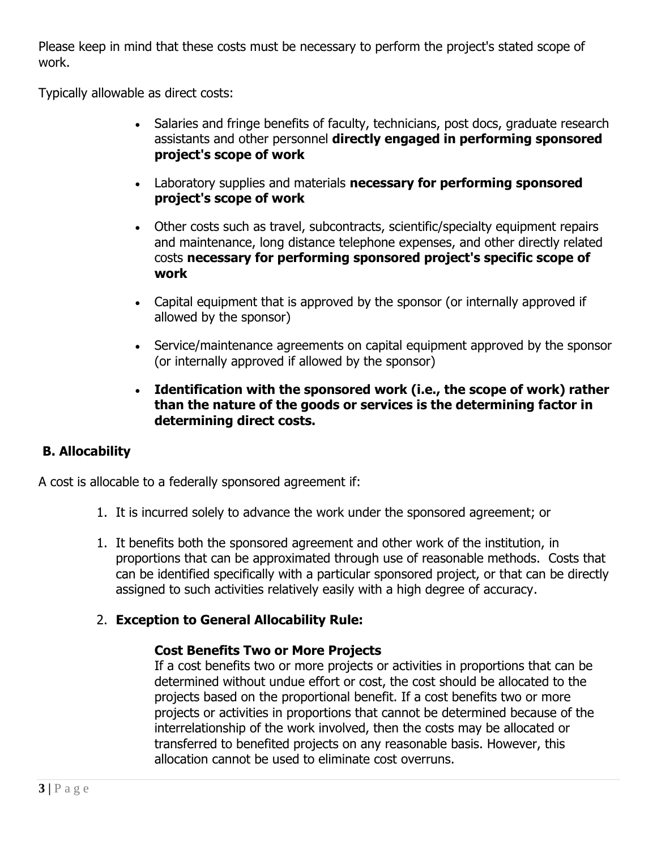Please keep in mind that these costs must be necessary to perform the project's stated scope of work.

Typically allowable as direct costs:

- Salaries and fringe benefits of faculty, technicians, post docs, graduate research assistants and other personnel **directly engaged in performing sponsored project's scope of work**
- Laboratory supplies and materials **necessary for performing sponsored project's scope of work**
- Other costs such as travel, subcontracts, scientific/specialty equipment repairs and maintenance, long distance telephone expenses, and other directly related costs **necessary for performing sponsored project's specific scope of work**
- Capital equipment that is approved by the sponsor (or internally approved if allowed by the sponsor)
- Service/maintenance agreements on capital equipment approved by the sponsor (or internally approved if allowed by the sponsor)
- **Identification with the sponsored work (i.e., the scope of work) rather than the nature of the goods or services is the determining factor in determining direct costs.**

#### **B. Allocability**

A cost is allocable to a federally sponsored agreement if:

- 1. It is incurred solely to advance the work under the sponsored agreement; or
- 1. It benefits both the sponsored agreement and other work of the institution, in proportions that can be approximated through use of reasonable methods. Costs that can be identified specifically with a particular sponsored project, or that can be directly assigned to such activities relatively easily with a high degree of accuracy.

#### 2. **Exception to General Allocability Rule:**

#### **Cost Benefits Two or More Projects**

If a cost benefits two or more projects or activities in proportions that can be determined without undue effort or cost, the cost should be allocated to the projects based on the proportional benefit. If a cost benefits two or more projects or activities in proportions that cannot be determined because of the interrelationship of the work involved, then the costs may be allocated or transferred to benefited projects on any reasonable basis. However, this allocation cannot be used to eliminate cost overruns.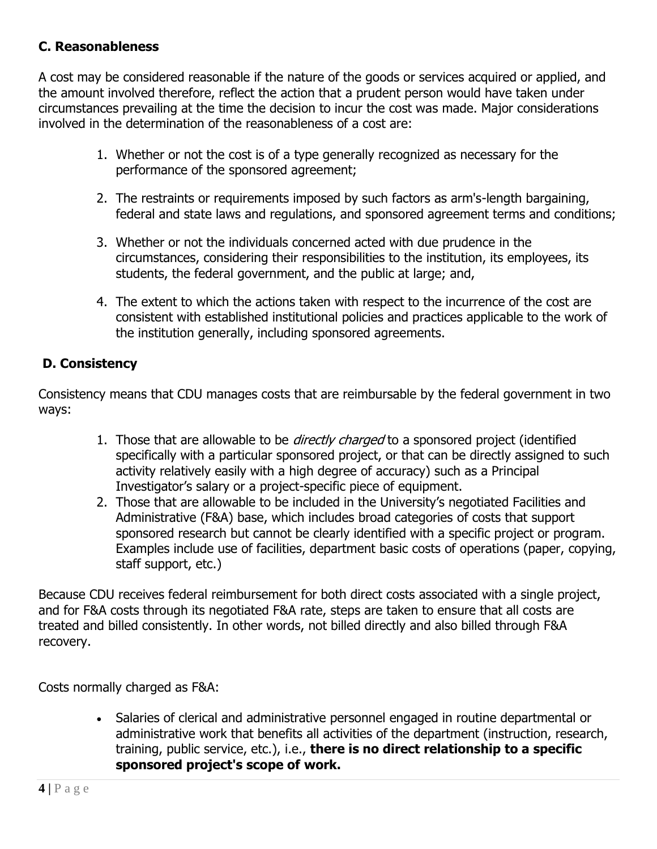#### **C. Reasonableness**

A cost may be considered reasonable if the nature of the goods or services acquired or applied, and the amount involved therefore, reflect the action that a prudent person would have taken under circumstances prevailing at the time the decision to incur the cost was made. Major considerations involved in the determination of the reasonableness of a cost are:

- 1. Whether or not the cost is of a type generally recognized as necessary for the performance of the sponsored agreement;
- 2. The restraints or requirements imposed by such factors as arm's-length bargaining, federal and state laws and regulations, and sponsored agreement terms and conditions;
- 3. Whether or not the individuals concerned acted with due prudence in the circumstances, considering their responsibilities to the institution, its employees, its students, the federal government, and the public at large; and,
- 4. The extent to which the actions taken with respect to the incurrence of the cost are consistent with established institutional policies and practices applicable to the work of the institution generally, including sponsored agreements.

# **D. Consistency**

Consistency means that CDU manages costs that are reimbursable by the federal government in two ways:

- 1. Those that are allowable to be *directly charged* to a sponsored project (identified specifically with a particular sponsored project, or that can be directly assigned to such activity relatively easily with a high degree of accuracy) such as a Principal Investigator's salary or a project-specific piece of equipment.
- 2. Those that are allowable to be included in the University's negotiated Facilities and Administrative (F&A) base, which includes broad categories of costs that support sponsored research but cannot be clearly identified with a specific project or program. Examples include use of facilities, department basic costs of operations (paper, copying, staff support, etc.)

Because CDU receives federal reimbursement for both direct costs associated with a single project, and for F&A costs through its negotiated F&A rate, steps are taken to ensure that all costs are treated and billed consistently. In other words, not billed directly and also billed through F&A recovery.

Costs normally charged as F&A:

 Salaries of clerical and administrative personnel engaged in routine departmental or administrative work that benefits all activities of the department (instruction, research, training, public service, etc.), i.e., **there is no direct relationship to a specific sponsored project's scope of work.**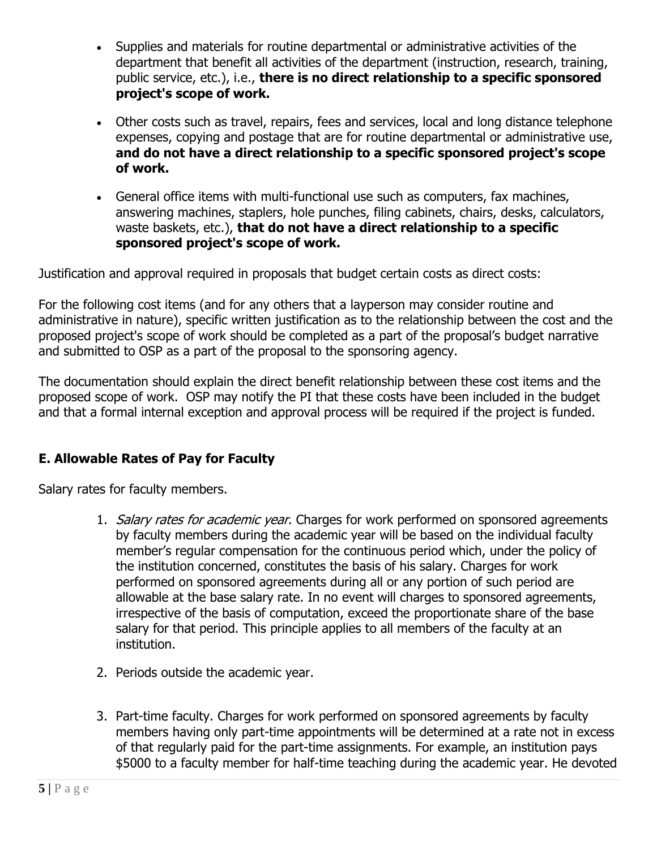- Supplies and materials for routine departmental or administrative activities of the department that benefit all activities of the department (instruction, research, training, public service, etc.), i.e., **there is no direct relationship to a specific sponsored project's scope of work.**
- Other costs such as travel, repairs, fees and services, local and long distance telephone expenses, copying and postage that are for routine departmental or administrative use, **and do not have a direct relationship to a specific sponsored project's scope of work.**
- General office items with multi-functional use such as computers, fax machines, answering machines, staplers, hole punches, filing cabinets, chairs, desks, calculators, waste baskets, etc.), **that do not have a direct relationship to a specific sponsored project's scope of work.**

Justification and approval required in proposals that budget certain costs as direct costs:

For the following cost items (and for any others that a layperson may consider routine and administrative in nature), specific written justification as to the relationship between the cost and the proposed project's scope of work should be completed as a part of the proposal's budget narrative and submitted to OSP as a part of the proposal to the sponsoring agency.

The documentation should explain the direct benefit relationship between these cost items and the proposed scope of work. OSP may notify the PI that these costs have been included in the budget and that a formal internal exception and approval process will be required if the project is funded.

#### **E. Allowable Rates of Pay for Faculty**

Salary rates for faculty members.

- 1. Salary rates for academic year. Charges for work performed on sponsored agreements by faculty members during the academic year will be based on the individual faculty member's regular compensation for the continuous period which, under the policy of the institution concerned, constitutes the basis of his salary. Charges for work performed on sponsored agreements during all or any portion of such period are allowable at the base salary rate. In no event will charges to sponsored agreements, irrespective of the basis of computation, exceed the proportionate share of the base salary for that period. This principle applies to all members of the faculty at an institution.
- 2. Periods outside the academic year.
- 3. Part-time faculty. Charges for work performed on sponsored agreements by faculty members having only part-time appointments will be determined at a rate not in excess of that regularly paid for the part-time assignments. For example, an institution pays \$5000 to a faculty member for half-time teaching during the academic year. He devoted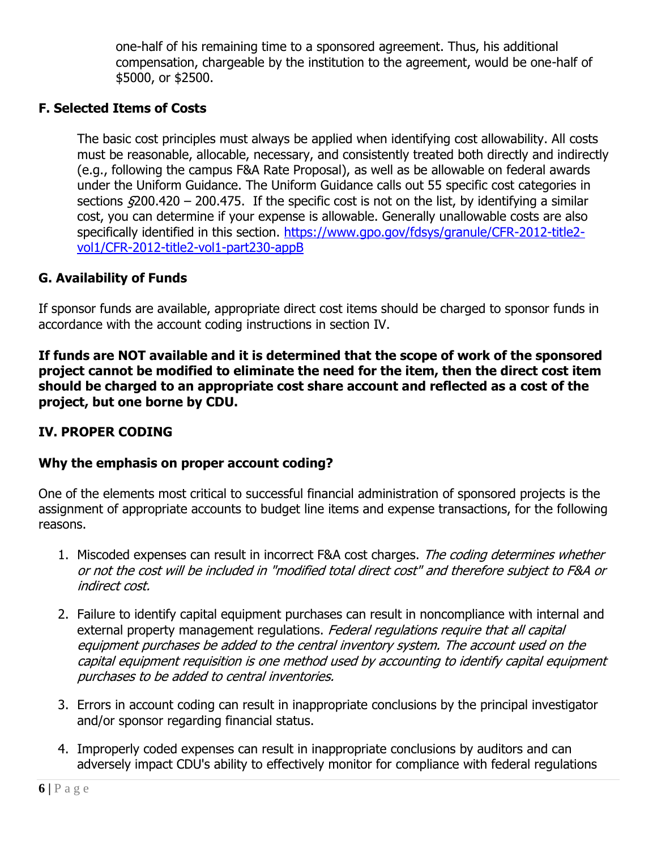one-half of his remaining time to a sponsored agreement. Thus, his additional compensation, chargeable by the institution to the agreement, would be one-half of \$5000, or \$2500.

#### **F. Selected Items of Costs**

The basic cost principles must always be applied when identifying cost allowability. All costs must be reasonable, allocable, necessary, and consistently treated both directly and indirectly (e.g., following the campus F&A Rate Proposal), as well as be allowable on federal awards under the Uniform Guidance. The Uniform Guidance calls out 55 specific cost categories in sections  $\sqrt{200.420} - 200.475$ . If the specific cost is not on the list, by identifying a similar cost, you can determine if your expense is allowable. Generally unallowable costs are also specifically identified in this section. [https://www.gpo.gov/fdsys/granule/CFR-2012-title2](https://www.gpo.gov/fdsys/granule/CFR-2012-title2-vol1/CFR-2012-title2-vol1-part230-appB) [vol1/CFR-2012-title2-vol1-part230-appB](https://www.gpo.gov/fdsys/granule/CFR-2012-title2-vol1/CFR-2012-title2-vol1-part230-appB)

#### **G. Availability of Funds**

If sponsor funds are available, appropriate direct cost items should be charged to sponsor funds in accordance with the account coding instructions in section IV.

**If funds are NOT available and it is determined that the scope of work of the sponsored project cannot be modified to eliminate the need for the item, then the direct cost item should be charged to an appropriate cost share account and reflected as a cost of the project, but one borne by CDU.**

#### **IV. PROPER CODING**

#### **Why the emphasis on proper account coding?**

One of the elements most critical to successful financial administration of sponsored projects is the assignment of appropriate accounts to budget line items and expense transactions, for the following reasons.

- 1. Miscoded expenses can result in incorrect F&A cost charges. The coding determines whether or not the cost will be included in "modified total direct cost" and therefore subject to F&A or indirect cost.
- 2. Failure to identify capital equipment purchases can result in noncompliance with internal and external property management regulations. Federal regulations require that all capital equipment purchases be added to the central inventory system. The account used on the capital equipment requisition is one method used by accounting to identify capital equipment purchases to be added to central inventories.
- 3. Errors in account coding can result in inappropriate conclusions by the principal investigator and/or sponsor regarding financial status.
- 4. Improperly coded expenses can result in inappropriate conclusions by auditors and can adversely impact CDU's ability to effectively monitor for compliance with federal regulations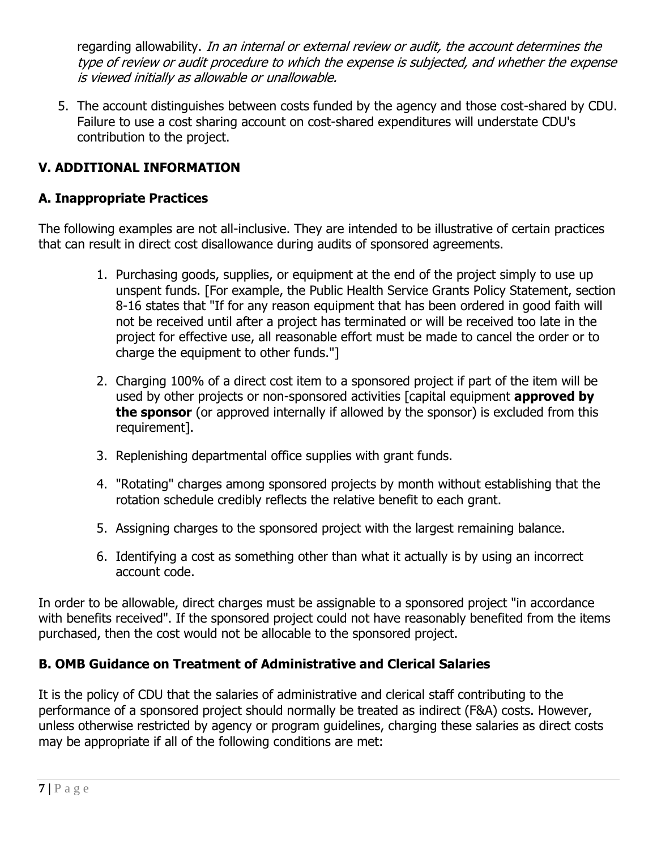regarding allowability. In an internal or external review or audit, the account determines the type of review or audit procedure to which the expense is subjected, and whether the expense is viewed initially as allowable or unallowable.

5. The account distinguishes between costs funded by the agency and those cost-shared by CDU. Failure to use a cost sharing account on cost-shared expenditures will understate CDU's contribution to the project.

# **V. ADDITIONAL INFORMATION**

#### **A. Inappropriate Practices**

The following examples are not all-inclusive. They are intended to be illustrative of certain practices that can result in direct cost disallowance during audits of sponsored agreements.

- 1. Purchasing goods, supplies, or equipment at the end of the project simply to use up unspent funds. [For example, the Public Health Service Grants Policy Statement, section 8-16 states that "If for any reason equipment that has been ordered in good faith will not be received until after a project has terminated or will be received too late in the project for effective use, all reasonable effort must be made to cancel the order or to charge the equipment to other funds."]
- 2. Charging 100% of a direct cost item to a sponsored project if part of the item will be used by other projects or non-sponsored activities [capital equipment **approved by the sponsor** (or approved internally if allowed by the sponsor) is excluded from this requirement].
- 3. Replenishing departmental office supplies with grant funds.
- 4. "Rotating" charges among sponsored projects by month without establishing that the rotation schedule credibly reflects the relative benefit to each grant.
- 5. Assigning charges to the sponsored project with the largest remaining balance.
- 6. Identifying a cost as something other than what it actually is by using an incorrect account code.

In order to be allowable, direct charges must be assignable to a sponsored project "in accordance with benefits received". If the sponsored project could not have reasonably benefited from the items purchased, then the cost would not be allocable to the sponsored project.

#### **B. OMB Guidance on Treatment of Administrative and Clerical Salaries**

It is the policy of CDU that the salaries of administrative and clerical staff contributing to the performance of a sponsored project should normally be treated as indirect (F&A) costs. However, unless otherwise restricted by agency or program guidelines, charging these salaries as direct costs may be appropriate if all of the following conditions are met: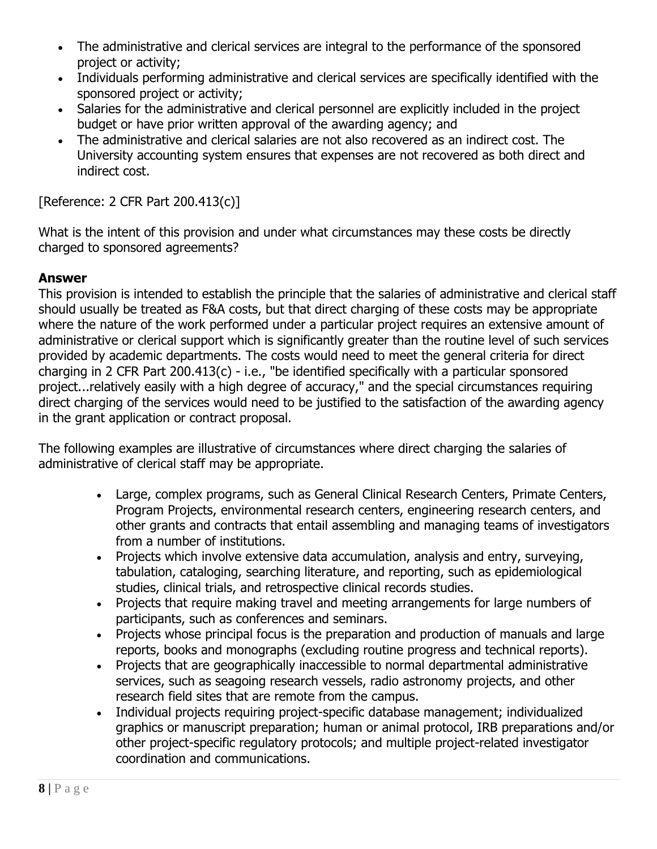- The administrative and clerical services are integral to the performance of the sponsored project or activity;
- Individuals performing administrative and clerical services are specifically identified with the sponsored project or activity;
- Salaries for the administrative and clerical personnel are explicitly included in the project budget or have prior written approval of the awarding agency; and
- The administrative and clerical salaries are not also recovered as an indirect cost. The University accounting system ensures that expenses are not recovered as both direct and indirect cost.

[Reference: 2 CFR Part 200.413(c)]

What is the intent of this provision and under what circumstances may these costs be directly charged to sponsored agreements?

# **Answer**

This provision is intended to establish the principle that the salaries of administrative and clerical staff should usually be treated as F&A costs, but that direct charging of these costs may be appropriate where the nature of the work performed under a particular project requires an extensive amount of administrative or clerical support which is significantly greater than the routine level of such services provided by academic departments. The costs would need to meet the general criteria for direct charging in 2 CFR Part 200.413(c) - i.e., "be identified specifically with a particular sponsored project...relatively easily with a high degree of accuracy," and the special circumstances requiring direct charging of the services would need to be justified to the satisfaction of the awarding agency in the grant application or contract proposal.

The following examples are illustrative of circumstances where direct charging the salaries of administrative of clerical staff may be appropriate.

- Large, complex programs, such as General Clinical Research Centers, Primate Centers, Program Projects, environmental research centers, engineering research centers, and other grants and contracts that entail assembling and managing teams of investigators from a number of institutions.
- Projects which involve extensive data accumulation, analysis and entry, surveying, tabulation, cataloging, searching literature, and reporting, such as epidemiological studies, clinical trials, and retrospective clinical records studies.
- Projects that require making travel and meeting arrangements for large numbers of participants, such as conferences and seminars.
- Projects whose principal focus is the preparation and production of manuals and large reports, books and monographs (excluding routine progress and technical reports).
- Projects that are geographically inaccessible to normal departmental administrative services, such as seagoing research vessels, radio astronomy projects, and other research field sites that are remote from the campus.
- Individual projects requiring project-specific database management; individualized graphics or manuscript preparation; human or animal protocol, IRB preparations and/or other project-specific regulatory protocols; and multiple project-related investigator coordination and communications.